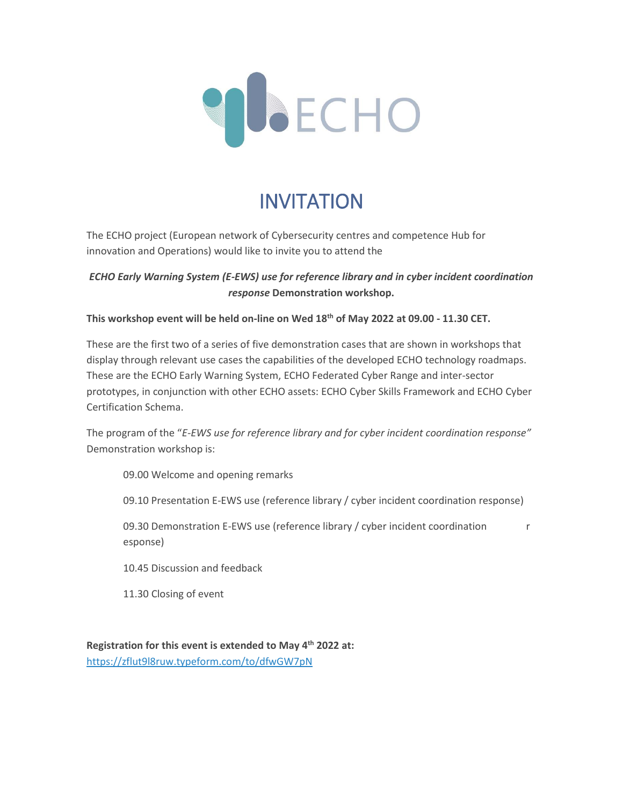

# INVITATION

The ECHO project (European network of Cybersecurity centres and competence Hub for innovation and Operations) would like to invite you to attend the

# *ECHO Early Warning System (E-EWS) use for reference library and in cyber incident coordination response* **Demonstration workshop.**

### **This workshop event will be held on-line on Wed 18th of May 2022 at 09.00 - 11.30 CET.**

These are the first two of a series of five demonstration cases that are shown in workshops that display through relevant use cases the capabilities of the developed ECHO technology roadmaps. These are the ECHO Early Warning System, ECHO Federated Cyber Range and inter-sector prototypes, in conjunction with other ECHO assets: ECHO Cyber Skills Framework and ECHO Cyber Certification Schema.

The program of the "*E-EWS use for reference library and for cyber incident coordination response"* Demonstration workshop is:

09.00 Welcome and opening remarks

09.10 Presentation E-EWS use (reference library / cyber incident coordination response)

09.30 Demonstration E-EWS use (reference library / cyber incident coordination r esponse)

10.45 Discussion and feedback

11.30 Closing of event

**Registration for this event is extended to May 4th 2022 at:**  [https://zflut9l8ruw.typeform.com/to/dfwGW7pN](https://eur01.safelinks.protection.outlook.com/?url=https%3A%2F%2Fzflut9l8ruw.typeform.com%2Fto%2FdfwGW7pN&data=04%7C01%7C%7C853ae76f78ad4632a7ab08da13e97968%7Cf0b9e9d78d664b169c1c6b07c4796280%7C1%7C0%7C637844190725973352%7CUnknown%7CTWFpbGZsb3d8eyJWIjoiMC4wLjAwMDAiLCJQIjoiV2luMzIiLCJBTiI6Ik1haWwiLCJXVCI6Mn0%3D%7C3000&sdata=4gAr6%2BvoQG5Le5MyQlPsqY%2Bcm2%2FAimla4z9ZzM8qmAc%3D&reserved=0)